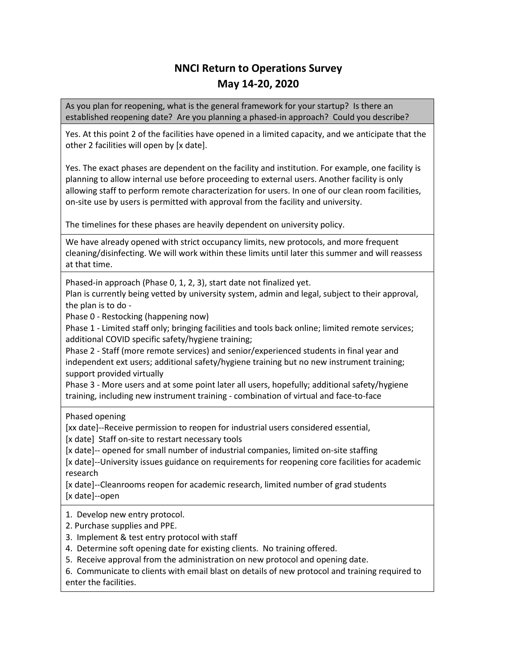## **NNCI Return to Operations Survey May 14-20, 2020**

As you plan for reopening, what is the general framework for your startup? Is there an established reopening date? Are you planning a phased-in approach? Could you describe?

Yes. At this point 2 of the facilities have opened in a limited capacity, and we anticipate that the other 2 facilities will open by [x date].

Yes. The exact phases are dependent on the facility and institution. For example, one facility is planning to allow internal use before proceeding to external users. Another facility is only allowing staff to perform remote characterization for users. In one of our clean room facilities, on-site use by users is permitted with approval from the facility and university.

The timelines for these phases are heavily dependent on university policy.

We have already opened with strict occupancy limits, new protocols, and more frequent cleaning/disinfecting. We will work within these limits until later this summer and will reassess at that time.

Phased-in approach (Phase 0, 1, 2, 3), start date not finalized yet.

Plan is currently being vetted by university system, admin and legal, subject to their approval, the plan is to do -

Phase 0 - Restocking (happening now)

Phase 1 - Limited staff only; bringing facilities and tools back online; limited remote services; additional COVID specific safety/hygiene training;

Phase 2 - Staff (more remote services) and senior/experienced students in final year and independent ext users; additional safety/hygiene training but no new instrument training; support provided virtually

Phase 3 - More users and at some point later all users, hopefully; additional safety/hygiene training, including new instrument training - combination of virtual and face-to-face

Phased opening

[xx date]--Receive permission to reopen for industrial users considered essential,

[x date] Staff on-site to restart necessary tools

[x date]-- opened for small number of industrial companies, limited on-site staffing

[x date]--University issues guidance on requirements for reopening core facilities for academic research

[x date]--Cleanrooms reopen for academic research, limited number of grad students [x date]--open

1. Develop new entry protocol.

- 2. Purchase supplies and PPE.
- 3. Implement & test entry protocol with staff
- 4. Determine soft opening date for existing clients. No training offered.
- 5. Receive approval from the administration on new protocol and opening date.

6. Communicate to clients with email blast on details of new protocol and training required to enter the facilities.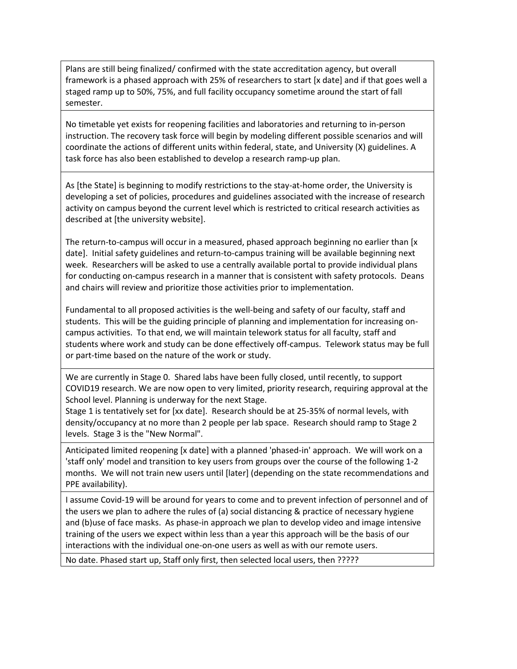Plans are still being finalized/ confirmed with the state accreditation agency, but overall framework is a phased approach with 25% of researchers to start [x date] and if that goes well a staged ramp up to 50%, 75%, and full facility occupancy sometime around the start of fall semester.

No timetable yet exists for reopening facilities and laboratories and returning to in-person instruction. The recovery task force will begin by modeling different possible scenarios and will coordinate the actions of different units within federal, state, and University (X) guidelines. A task force has also been established to develop a research ramp-up plan.

As [the State] is beginning to modify restrictions to the stay-at-home order, the University is developing a set of policies, procedures and guidelines associated with the increase of research activity on campus beyond the current level which is restricted to critical research activities as described at [the university website].

The return-to-campus will occur in a measured, phased approach beginning no earlier than [x date]. Initial safety guidelines and return-to-campus training will be available beginning next week. Researchers will be asked to use a centrally available portal to provide individual plans for conducting on-campus research in a manner that is consistent with safety protocols. Deans and chairs will review and prioritize those activities prior to implementation.

Fundamental to all proposed activities is the well-being and safety of our faculty, staff and students. This will be the guiding principle of planning and implementation for increasing oncampus activities. To that end, we will maintain telework status for all faculty, staff and students where work and study can be done effectively off-campus. Telework status may be full or part-time based on the nature of the work or study.

We are currently in Stage 0. Shared labs have been fully closed, until recently, to support COVID19 research. We are now open to very limited, priority research, requiring approval at the School level. Planning is underway for the next Stage.

Stage 1 is tentatively set for [xx date]. Research should be at 25-35% of normal levels, with density/occupancy at no more than 2 people per lab space. Research should ramp to Stage 2 levels. Stage 3 is the "New Normal".

Anticipated limited reopening [x date] with a planned 'phased-in' approach. We will work on a 'staff only' model and transition to key users from groups over the course of the following 1-2 months. We will not train new users until [later] (depending on the state recommendations and PPE availability).

I assume Covid-19 will be around for years to come and to prevent infection of personnel and of the users we plan to adhere the rules of (a) social distancing & practice of necessary hygiene and (b)use of face masks. As phase-in approach we plan to develop video and image intensive training of the users we expect within less than a year this approach will be the basis of our interactions with the individual one-on-one users as well as with our remote users.

No date. Phased start up, Staff only first, then selected local users, then ?????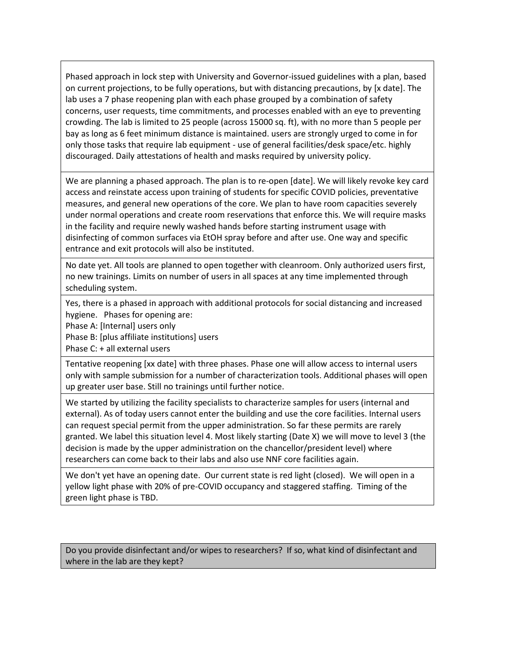Phased approach in lock step with University and Governor-issued guidelines with a plan, based on current projections, to be fully operations, but with distancing precautions, by [x date]. The lab uses a 7 phase reopening plan with each phase grouped by a combination of safety concerns, user requests, time commitments, and processes enabled with an eye to preventing crowding. The lab is limited to 25 people (across 15000 sq. ft), with no more than 5 people per bay as long as 6 feet minimum distance is maintained. users are strongly urged to come in for only those tasks that require lab equipment - use of general facilities/desk space/etc. highly discouraged. Daily attestations of health and masks required by university policy.

We are planning a phased approach. The plan is to re-open [date]. We will likely revoke key card access and reinstate access upon training of students for specific COVID policies, preventative measures, and general new operations of the core. We plan to have room capacities severely under normal operations and create room reservations that enforce this. We will require masks in the facility and require newly washed hands before starting instrument usage with disinfecting of common surfaces via EtOH spray before and after use. One way and specific entrance and exit protocols will also be instituted.

No date yet. All tools are planned to open together with cleanroom. Only authorized users first, no new trainings. Limits on number of users in all spaces at any time implemented through scheduling system.

Yes, there is a phased in approach with additional protocols for social distancing and increased hygiene. Phases for opening are:

Phase A: [Internal] users only

Phase B: [plus affiliate institutions] users

Phase C: + all external users

Tentative reopening [xx date] with three phases. Phase one will allow access to internal users only with sample submission for a number of characterization tools. Additional phases will open up greater user base. Still no trainings until further notice.

We started by utilizing the facility specialists to characterize samples for users (internal and external). As of today users cannot enter the building and use the core facilities. Internal users can request special permit from the upper administration. So far these permits are rarely granted. We label this situation level 4. Most likely starting (Date X) we will move to level 3 (the decision is made by the upper administration on the chancellor/president level) where researchers can come back to their labs and also use NNF core facilities again.

We don't yet have an opening date. Our current state is red light (closed). We will open in a yellow light phase with 20% of pre-COVID occupancy and staggered staffing. Timing of the green light phase is TBD.

Do you provide disinfectant and/or wipes to researchers? If so, what kind of disinfectant and where in the lab are they kept?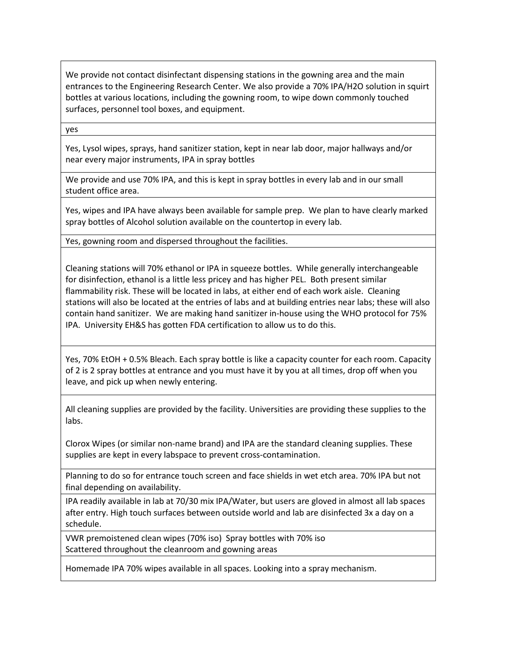We provide not contact disinfectant dispensing stations in the gowning area and the main entrances to the Engineering Research Center. We also provide a 70% IPA/H2O solution in squirt bottles at various locations, including the gowning room, to wipe down commonly touched surfaces, personnel tool boxes, and equipment.

yes

Yes, Lysol wipes, sprays, hand sanitizer station, kept in near lab door, major hallways and/or near every major instruments, IPA in spray bottles

We provide and use 70% IPA, and this is kept in spray bottles in every lab and in our small student office area.

Yes, wipes and IPA have always been available for sample prep. We plan to have clearly marked spray bottles of Alcohol solution available on the countertop in every lab.

Yes, gowning room and dispersed throughout the facilities.

Cleaning stations will 70% ethanol or IPA in squeeze bottles. While generally interchangeable for disinfection, ethanol is a little less pricey and has higher PEL. Both present similar flammability risk. These will be located in labs, at either end of each work aisle. Cleaning stations will also be located at the entries of labs and at building entries near labs; these will also contain hand sanitizer. We are making hand sanitizer in-house using the WHO protocol for 75% IPA. University EH&S has gotten FDA certification to allow us to do this.

Yes, 70% EtOH + 0.5% Bleach. Each spray bottle is like a capacity counter for each room. Capacity of 2 is 2 spray bottles at entrance and you must have it by you at all times, drop off when you leave, and pick up when newly entering.

All cleaning supplies are provided by the facility. Universities are providing these supplies to the labs.

Clorox Wipes (or similar non-name brand) and IPA are the standard cleaning supplies. These supplies are kept in every labspace to prevent cross-contamination.

Planning to do so for entrance touch screen and face shields in wet etch area. 70% IPA but not final depending on availability.

IPA readily available in lab at 70/30 mix IPA/Water, but users are gloved in almost all lab spaces after entry. High touch surfaces between outside world and lab are disinfected 3x a day on a schedule.

VWR premoistened clean wipes (70% iso) Spray bottles with 70% iso Scattered throughout the cleanroom and gowning areas

Homemade IPA 70% wipes available in all spaces. Looking into a spray mechanism.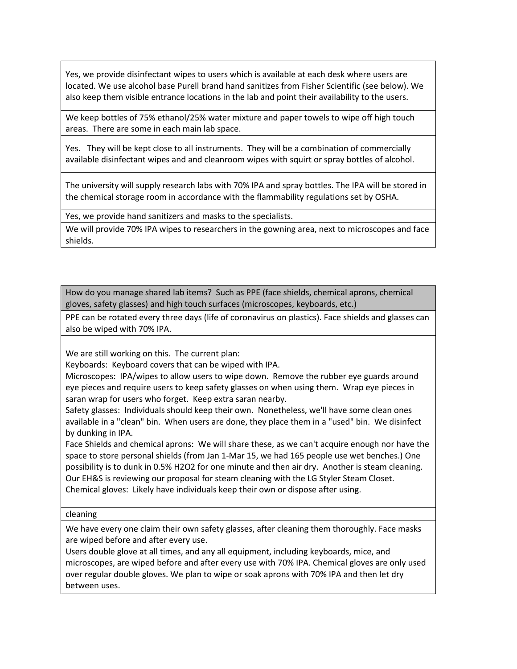Yes, we provide disinfectant wipes to users which is available at each desk where users are located. We use alcohol base Purell brand hand sanitizes from Fisher Scientific (see below). We also keep them visible entrance locations in the lab and point their availability to the users.

We keep bottles of 75% ethanol/25% water mixture and paper towels to wipe off high touch areas. There are some in each main lab space.

Yes. They will be kept close to all instruments. They will be a combination of commercially available disinfectant wipes and and cleanroom wipes with squirt or spray bottles of alcohol.

The university will supply research labs with 70% IPA and spray bottles. The IPA will be stored in the chemical storage room in accordance with the flammability regulations set by OSHA.

Yes, we provide hand sanitizers and masks to the specialists.

We will provide 70% IPA wipes to researchers in the gowning area, next to microscopes and face shields.

How do you manage shared lab items? Such as PPE (face shields, chemical aprons, chemical gloves, safety glasses) and high touch surfaces (microscopes, keyboards, etc.)

PPE can be rotated every three days (life of coronavirus on plastics). Face shields and glasses can also be wiped with 70% IPA.

We are still working on this. The current plan:

Keyboards: Keyboard covers that can be wiped with IPA.

Microscopes: IPA/wipes to allow users to wipe down. Remove the rubber eye guards around eye pieces and require users to keep safety glasses on when using them. Wrap eye pieces in saran wrap for users who forget. Keep extra saran nearby.

Safety glasses: Individuals should keep their own. Nonetheless, we'll have some clean ones available in a "clean" bin. When users are done, they place them in a "used" bin. We disinfect by dunking in IPA.

Face Shields and chemical aprons: We will share these, as we can't acquire enough nor have the space to store personal shields (from Jan 1-Mar 15, we had 165 people use wet benches.) One possibility is to dunk in 0.5% H2O2 for one minute and then air dry. Another is steam cleaning. Our EH&S is reviewing our proposal for steam cleaning with the LG Styler Steam Closet. Chemical gloves: Likely have individuals keep their own or dispose after using.

cleaning

We have every one claim their own safety glasses, after cleaning them thoroughly. Face masks are wiped before and after every use.

Users double glove at all times, and any all equipment, including keyboards, mice, and microscopes, are wiped before and after every use with 70% IPA. Chemical gloves are only used over regular double gloves. We plan to wipe or soak aprons with 70% IPA and then let dry between uses.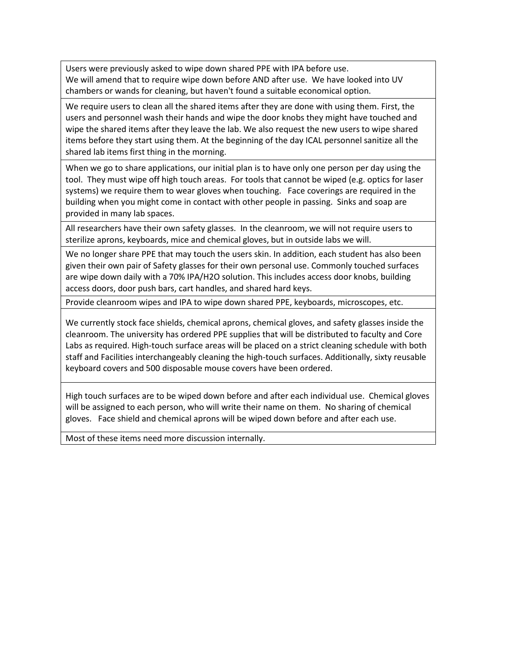Users were previously asked to wipe down shared PPE with IPA before use. We will amend that to require wipe down before AND after use. We have looked into UV chambers or wands for cleaning, but haven't found a suitable economical option.

We require users to clean all the shared items after they are done with using them. First, the users and personnel wash their hands and wipe the door knobs they might have touched and wipe the shared items after they leave the lab. We also request the new users to wipe shared items before they start using them. At the beginning of the day ICAL personnel sanitize all the shared lab items first thing in the morning.

When we go to share applications, our initial plan is to have only one person per day using the tool. They must wipe off high touch areas. For tools that cannot be wiped (e.g. optics for laser systems) we require them to wear gloves when touching. Face coverings are required in the building when you might come in contact with other people in passing. Sinks and soap are provided in many lab spaces.

All researchers have their own safety glasses. In the cleanroom, we will not require users to sterilize aprons, keyboards, mice and chemical gloves, but in outside labs we will.

We no longer share PPE that may touch the users skin. In addition, each student has also been given their own pair of Safety glasses for their own personal use. Commonly touched surfaces are wipe down daily with a 70% IPA/H2O solution. This includes access door knobs, building access doors, door push bars, cart handles, and shared hard keys.

Provide cleanroom wipes and IPA to wipe down shared PPE, keyboards, microscopes, etc.

We currently stock face shields, chemical aprons, chemical gloves, and safety glasses inside the cleanroom. The university has ordered PPE supplies that will be distributed to faculty and Core Labs as required. High-touch surface areas will be placed on a strict cleaning schedule with both staff and Facilities interchangeably cleaning the high-touch surfaces. Additionally, sixty reusable keyboard covers and 500 disposable mouse covers have been ordered.

High touch surfaces are to be wiped down before and after each individual use. Chemical gloves will be assigned to each person, who will write their name on them. No sharing of chemical gloves. Face shield and chemical aprons will be wiped down before and after each use.

Most of these items need more discussion internally.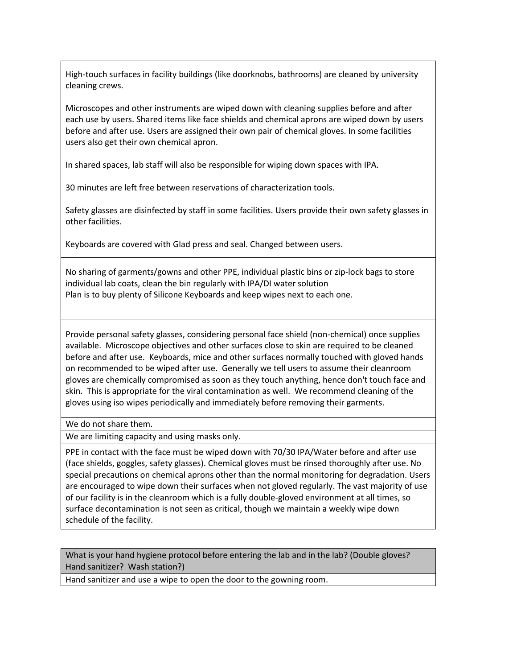High-touch surfaces in facility buildings (like doorknobs, bathrooms) are cleaned by university cleaning crews.

Microscopes and other instruments are wiped down with cleaning supplies before and after each use by users. Shared items like face shields and chemical aprons are wiped down by users before and after use. Users are assigned their own pair of chemical gloves. In some facilities users also get their own chemical apron.

In shared spaces, lab staff will also be responsible for wiping down spaces with IPA.

30 minutes are left free between reservations of characterization tools.

Safety glasses are disinfected by staff in some facilities. Users provide their own safety glasses in other facilities.

Keyboards are covered with Glad press and seal. Changed between users.

No sharing of garments/gowns and other PPE, individual plastic bins or zip-lock bags to store individual lab coats, clean the bin regularly with IPA/DI water solution Plan is to buy plenty of Silicone Keyboards and keep wipes next to each one.

Provide personal safety glasses, considering personal face shield (non-chemical) once supplies available. Microscope objectives and other surfaces close to skin are required to be cleaned before and after use. Keyboards, mice and other surfaces normally touched with gloved hands on recommended to be wiped after use. Generally we tell users to assume their cleanroom gloves are chemically compromised as soon as they touch anything, hence don't touch face and skin. This is appropriate for the viral contamination as well. We recommend cleaning of the gloves using iso wipes periodically and immediately before removing their garments.

We do not share them.

We are limiting capacity and using masks only.

PPE in contact with the face must be wiped down with 70/30 IPA/Water before and after use (face shields, goggles, safety glasses). Chemical gloves must be rinsed thoroughly after use. No special precautions on chemical aprons other than the normal monitoring for degradation. Users are encouraged to wipe down their surfaces when not gloved regularly. The vast majority of use of our facility is in the cleanroom which is a fully double-gloved environment at all times, so surface decontamination is not seen as critical, though we maintain a weekly wipe down schedule of the facility.

What is your hand hygiene protocol before entering the lab and in the lab? (Double gloves? Hand sanitizer? Wash station?)

Hand sanitizer and use a wipe to open the door to the gowning room.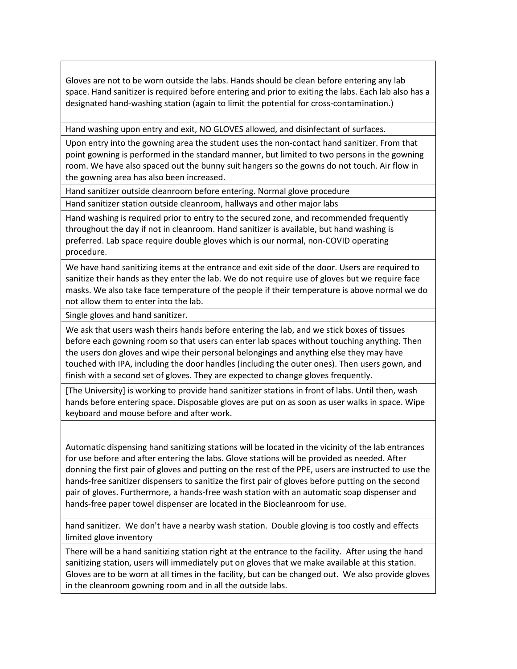Gloves are not to be worn outside the labs. Hands should be clean before entering any lab space. Hand sanitizer is required before entering and prior to exiting the labs. Each lab also has a designated hand-washing station (again to limit the potential for cross-contamination.)

Hand washing upon entry and exit, NO GLOVES allowed, and disinfectant of surfaces.

Upon entry into the gowning area the student uses the non-contact hand sanitizer. From that point gowning is performed in the standard manner, but limited to two persons in the gowning room. We have also spaced out the bunny suit hangers so the gowns do not touch. Air flow in the gowning area has also been increased.

Hand sanitizer outside cleanroom before entering. Normal glove procedure

Hand sanitizer station outside cleanroom, hallways and other major labs

Hand washing is required prior to entry to the secured zone, and recommended frequently throughout the day if not in cleanroom. Hand sanitizer is available, but hand washing is preferred. Lab space require double gloves which is our normal, non-COVID operating procedure.

We have hand sanitizing items at the entrance and exit side of the door. Users are required to sanitize their hands as they enter the lab. We do not require use of gloves but we require face masks. We also take face temperature of the people if their temperature is above normal we do not allow them to enter into the lab.

Single gloves and hand sanitizer.

We ask that users wash theirs hands before entering the lab, and we stick boxes of tissues before each gowning room so that users can enter lab spaces without touching anything. Then the users don gloves and wipe their personal belongings and anything else they may have touched with IPA, including the door handles (including the outer ones). Then users gown, and finish with a second set of gloves. They are expected to change gloves frequently.

[The University] is working to provide hand sanitizer stations in front of labs. Until then, wash hands before entering space. Disposable gloves are put on as soon as user walks in space. Wipe keyboard and mouse before and after work.

Automatic dispensing hand sanitizing stations will be located in the vicinity of the lab entrances for use before and after entering the labs. Glove stations will be provided as needed. After donning the first pair of gloves and putting on the rest of the PPE, users are instructed to use the hands-free sanitizer dispensers to sanitize the first pair of gloves before putting on the second pair of gloves. Furthermore, a hands-free wash station with an automatic soap dispenser and hands-free paper towel dispenser are located in the Biocleanroom for use.

hand sanitizer. We don't have a nearby wash station. Double gloving is too costly and effects limited glove inventory

There will be a hand sanitizing station right at the entrance to the facility. After using the hand sanitizing station, users will immediately put on gloves that we make available at this station. Gloves are to be worn at all times in the facility, but can be changed out. We also provide gloves in the cleanroom gowning room and in all the outside labs.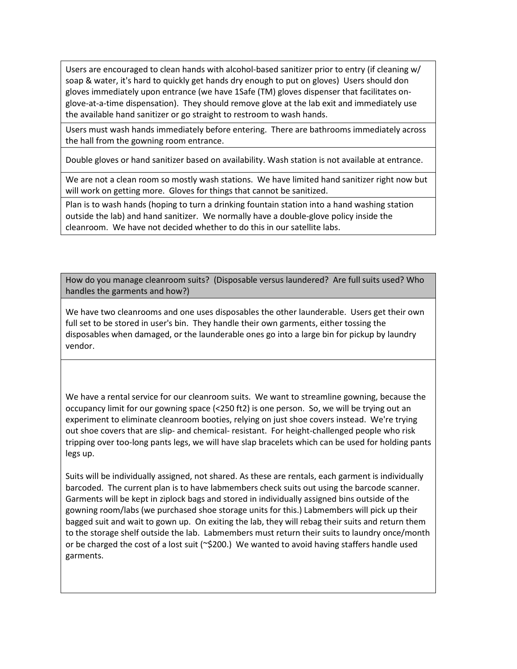Users are encouraged to clean hands with alcohol-based sanitizer prior to entry (if cleaning w/ soap & water, it's hard to quickly get hands dry enough to put on gloves) Users should don gloves immediately upon entrance (we have 1Safe (TM) gloves dispenser that facilitates onglove-at-a-time dispensation). They should remove glove at the lab exit and immediately use the available hand sanitizer or go straight to restroom to wash hands.

Users must wash hands immediately before entering. There are bathrooms immediately across the hall from the gowning room entrance.

Double gloves or hand sanitizer based on availability. Wash station is not available at entrance.

We are not a clean room so mostly wash stations. We have limited hand sanitizer right now but will work on getting more. Gloves for things that cannot be sanitized.

Plan is to wash hands (hoping to turn a drinking fountain station into a hand washing station outside the lab) and hand sanitizer. We normally have a double-glove policy inside the cleanroom. We have not decided whether to do this in our satellite labs.

How do you manage cleanroom suits? (Disposable versus laundered? Are full suits used? Who handles the garments and how?)

We have two cleanrooms and one uses disposables the other launderable. Users get their own full set to be stored in user's bin. They handle their own garments, either tossing the disposables when damaged, or the launderable ones go into a large bin for pickup by laundry vendor.

We have a rental service for our cleanroom suits. We want to streamline gowning, because the occupancy limit for our gowning space (<250 ft2) is one person. So, we will be trying out an experiment to eliminate cleanroom booties, relying on just shoe covers instead. We're trying out shoe covers that are slip- and chemical- resistant. For height-challenged people who risk tripping over too-long pants legs, we will have slap bracelets which can be used for holding pants legs up.

Suits will be individually assigned, not shared. As these are rentals, each garment is individually barcoded. The current plan is to have labmembers check suits out using the barcode scanner. Garments will be kept in ziplock bags and stored in individually assigned bins outside of the gowning room/labs (we purchased shoe storage units for this.) Labmembers will pick up their bagged suit and wait to gown up. On exiting the lab, they will rebag their suits and return them to the storage shelf outside the lab. Labmembers must return their suits to laundry once/month or be charged the cost of a lost suit ( $\sim$ \$200.) We wanted to avoid having staffers handle used garments.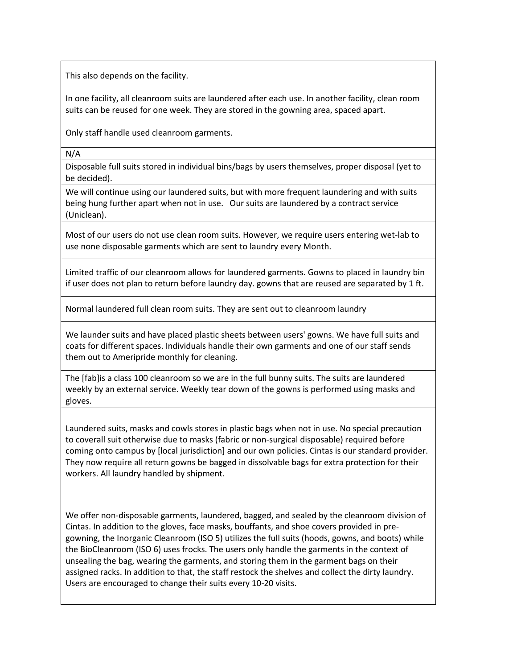This also depends on the facility.

In one facility, all cleanroom suits are laundered after each use. In another facility, clean room suits can be reused for one week. They are stored in the gowning area, spaced apart.

Only staff handle used cleanroom garments.

N/A

Disposable full suits stored in individual bins/bags by users themselves, proper disposal (yet to be decided).

We will continue using our laundered suits, but with more frequent laundering and with suits being hung further apart when not in use. Our suits are laundered by a contract service (Uniclean).

Most of our users do not use clean room suits. However, we require users entering wet-lab to use none disposable garments which are sent to laundry every Month.

Limited traffic of our cleanroom allows for laundered garments. Gowns to placed in laundry bin if user does not plan to return before laundry day. gowns that are reused are separated by 1 ft.

Normal laundered full clean room suits. They are sent out to cleanroom laundry

We launder suits and have placed plastic sheets between users' gowns. We have full suits and coats for different spaces. Individuals handle their own garments and one of our staff sends them out to Ameripride monthly for cleaning.

The [fab]is a class 100 cleanroom so we are in the full bunny suits. The suits are laundered weekly by an external service. Weekly tear down of the gowns is performed using masks and gloves.

Laundered suits, masks and cowls stores in plastic bags when not in use. No special precaution to coverall suit otherwise due to masks (fabric or non-surgical disposable) required before coming onto campus by [local jurisdiction] and our own policies. Cintas is our standard provider. They now require all return gowns be bagged in dissolvable bags for extra protection for their workers. All laundry handled by shipment.

We offer non-disposable garments, laundered, bagged, and sealed by the cleanroom division of Cintas. In addition to the gloves, face masks, bouffants, and shoe covers provided in pregowning, the Inorganic Cleanroom (ISO 5) utilizes the full suits (hoods, gowns, and boots) while the BioCleanroom (ISO 6) uses frocks. The users only handle the garments in the context of unsealing the bag, wearing the garments, and storing them in the garment bags on their assigned racks. In addition to that, the staff restock the shelves and collect the dirty laundry. Users are encouraged to change their suits every 10-20 visits.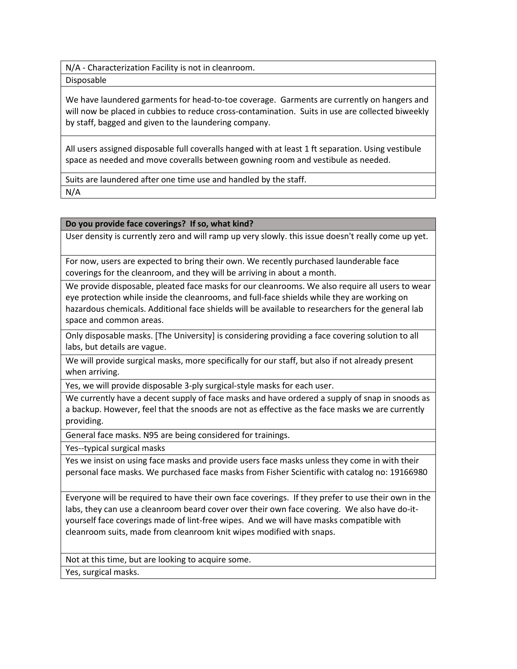N/A - Characterization Facility is not in cleanroom.

Disposable

We have laundered garments for head-to-toe coverage. Garments are currently on hangers and will now be placed in cubbies to reduce cross-contamination. Suits in use are collected biweekly by staff, bagged and given to the laundering company.

All users assigned disposable full coveralls hanged with at least 1 ft separation. Using vestibule space as needed and move coveralls between gowning room and vestibule as needed.

Suits are laundered after one time use and handled by the staff. N/A

## **Do you provide face coverings? If so, what kind?**

User density is currently zero and will ramp up very slowly. this issue doesn't really come up yet.

For now, users are expected to bring their own. We recently purchased launderable face coverings for the cleanroom, and they will be arriving in about a month.

We provide disposable, pleated face masks for our cleanrooms. We also require all users to wear eye protection while inside the cleanrooms, and full-face shields while they are working on hazardous chemicals. Additional face shields will be available to researchers for the general lab space and common areas.

Only disposable masks. [The University] is considering providing a face covering solution to all labs, but details are vague.

We will provide surgical masks, more specifically for our staff, but also if not already present when arriving.

Yes, we will provide disposable 3-ply surgical-style masks for each user.

We currently have a decent supply of face masks and have ordered a supply of snap in snoods as a backup. However, feel that the snoods are not as effective as the face masks we are currently providing.

General face masks. N95 are being considered for trainings.

Yes--typical surgical masks

Yes we insist on using face masks and provide users face masks unless they come in with their personal face masks. We purchased face masks from Fisher Scientific with catalog no: 19166980

Everyone will be required to have their own face coverings. If they prefer to use their own in the labs, they can use a cleanroom beard cover over their own face covering. We also have do-ityourself face coverings made of lint-free wipes. And we will have masks compatible with cleanroom suits, made from cleanroom knit wipes modified with snaps.

Not at this time, but are looking to acquire some.

Yes, surgical masks.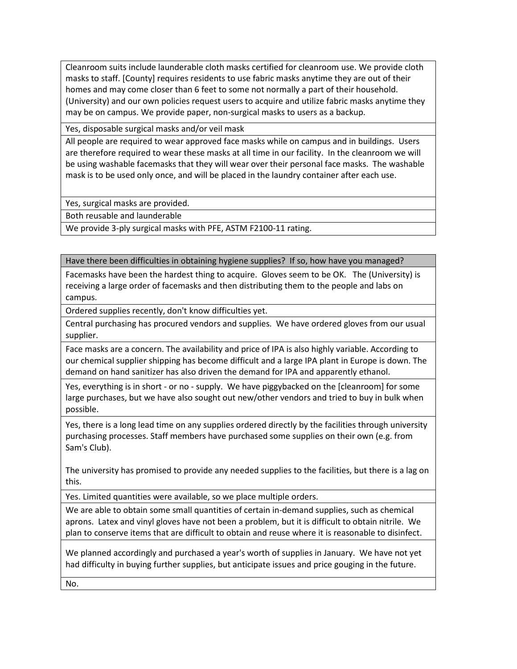Cleanroom suits include launderable cloth masks certified for cleanroom use. We provide cloth masks to staff. [County] requires residents to use fabric masks anytime they are out of their homes and may come closer than 6 feet to some not normally a part of their household. (University) and our own policies request users to acquire and utilize fabric masks anytime they may be on campus. We provide paper, non-surgical masks to users as a backup.

Yes, disposable surgical masks and/or veil mask

All people are required to wear approved face masks while on campus and in buildings. Users are therefore required to wear these masks at all time in our facility. In the cleanroom we will be using washable facemasks that they will wear over their personal face masks. The washable mask is to be used only once, and will be placed in the laundry container after each use.

Yes, surgical masks are provided.

Both reusable and launderable

We provide 3-ply surgical masks with PFE, ASTM F2100-11 rating.

Have there been difficulties in obtaining hygiene supplies? If so, how have you managed?

Facemasks have been the hardest thing to acquire. Gloves seem to be OK. The (University) is receiving a large order of facemasks and then distributing them to the people and labs on campus.

Ordered supplies recently, don't know difficulties yet.

Central purchasing has procured vendors and supplies. We have ordered gloves from our usual supplier.

Face masks are a concern. The availability and price of IPA is also highly variable. According to our chemical supplier shipping has become difficult and a large IPA plant in Europe is down. The demand on hand sanitizer has also driven the demand for IPA and apparently ethanol.

Yes, everything is in short - or no - supply. We have piggybacked on the [cleanroom] for some large purchases, but we have also sought out new/other vendors and tried to buy in bulk when possible.

Yes, there is a long lead time on any supplies ordered directly by the facilities through university purchasing processes. Staff members have purchased some supplies on their own (e.g. from Sam's Club).

The university has promised to provide any needed supplies to the facilities, but there is a lag on this.

Yes. Limited quantities were available, so we place multiple orders.

We are able to obtain some small quantities of certain in-demand supplies, such as chemical aprons. Latex and vinyl gloves have not been a problem, but it is difficult to obtain nitrile. We plan to conserve items that are difficult to obtain and reuse where it is reasonable to disinfect.

We planned accordingly and purchased a year's worth of supplies in January. We have not yet had difficulty in buying further supplies, but anticipate issues and price gouging in the future.

No.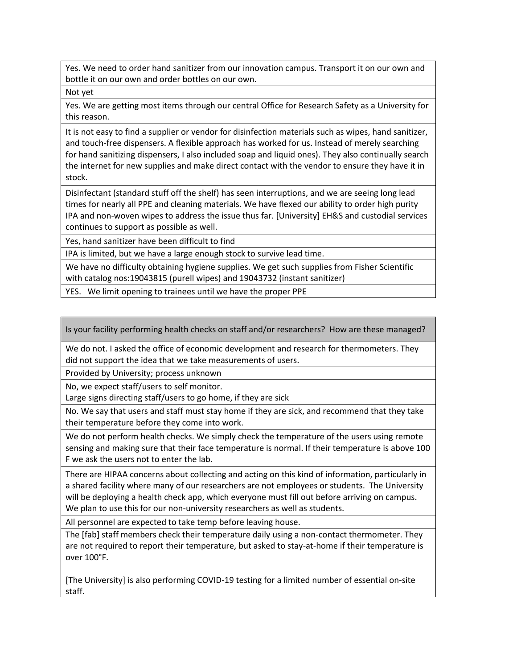Yes. We need to order hand sanitizer from our innovation campus. Transport it on our own and bottle it on our own and order bottles on our own.

Not yet

Yes. We are getting most items through our central Office for Research Safety as a University for this reason.

It is not easy to find a supplier or vendor for disinfection materials such as wipes, hand sanitizer, and touch-free dispensers. A flexible approach has worked for us. Instead of merely searching for hand sanitizing dispensers, I also included soap and liquid ones). They also continually search the internet for new supplies and make direct contact with the vendor to ensure they have it in stock.

Disinfectant (standard stuff off the shelf) has seen interruptions, and we are seeing long lead times for nearly all PPE and cleaning materials. We have flexed our ability to order high purity IPA and non-woven wipes to address the issue thus far. [University] EH&S and custodial services continues to support as possible as well.

Yes, hand sanitizer have been difficult to find

IPA is limited, but we have a large enough stock to survive lead time.

We have no difficulty obtaining hygiene supplies. We get such supplies from Fisher Scientific with catalog nos:19043815 (purell wipes) and 19043732 (instant sanitizer)

YES. We limit opening to trainees until we have the proper PPE

Is your facility performing health checks on staff and/or researchers? How are these managed?

We do not. I asked the office of economic development and research for thermometers. They did not support the idea that we take measurements of users.

Provided by University; process unknown

No, we expect staff/users to self monitor.

Large signs directing staff/users to go home, if they are sick

No. We say that users and staff must stay home if they are sick, and recommend that they take their temperature before they come into work.

We do not perform health checks. We simply check the temperature of the users using remote sensing and making sure that their face temperature is normal. If their temperature is above 100 F we ask the users not to enter the lab.

There are HIPAA concerns about collecting and acting on this kind of information, particularly in a shared facility where many of our researchers are not employees or students. The University will be deploying a health check app, which everyone must fill out before arriving on campus. We plan to use this for our non-university researchers as well as students.

All personnel are expected to take temp before leaving house.

The [fab] staff members check their temperature daily using a non-contact thermometer. They are not required to report their temperature, but asked to stay-at-home if their temperature is over 100°F.

[The University] is also performing COVID-19 testing for a limited number of essential on-site staff.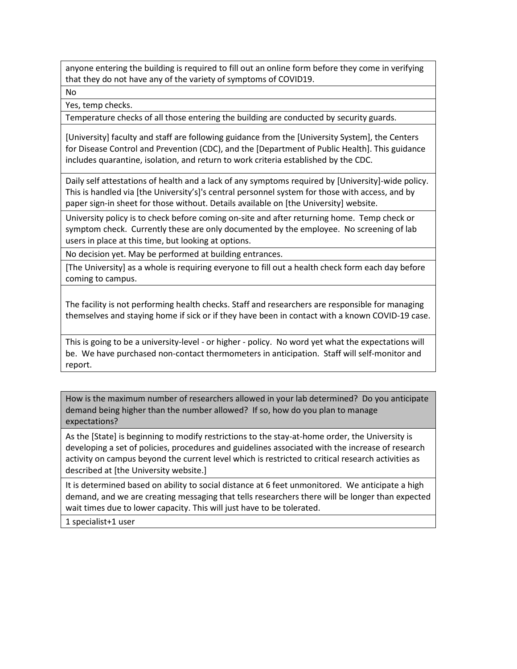anyone entering the building is required to fill out an online form before they come in verifying that they do not have any of the variety of symptoms of COVID19.

No

Yes, temp checks.

Temperature checks of all those entering the building are conducted by security guards.

[University] faculty and staff are following guidance from the [University System], the Centers for Disease Control and Prevention (CDC), and the [Department of Public Health]. This guidance includes quarantine, isolation, and return to work criteria established by the CDC.

Daily self attestations of health and a lack of any symptoms required by [University]-wide policy. This is handled via [the University's]'s central personnel system for those with access, and by paper sign-in sheet for those without. Details available on [the University] website.

University policy is to check before coming on-site and after returning home. Temp check or symptom check. Currently these are only documented by the employee. No screening of lab users in place at this time, but looking at options.

No decision yet. May be performed at building entrances.

[The University] as a whole is requiring everyone to fill out a health check form each day before coming to campus.

The facility is not performing health checks. Staff and researchers are responsible for managing themselves and staying home if sick or if they have been in contact with a known COVID-19 case.

This is going to be a university-level - or higher - policy. No word yet what the expectations will be. We have purchased non-contact thermometers in anticipation. Staff will self-monitor and report.

How is the maximum number of researchers allowed in your lab determined? Do you anticipate demand being higher than the number allowed? If so, how do you plan to manage expectations?

As the [State] is beginning to modify restrictions to the stay-at-home order, the University is developing a set of policies, procedures and guidelines associated with the increase of research activity on campus beyond the current level which is restricted to critical research activities as described at [the University website.]

It is determined based on ability to social distance at 6 feet unmonitored. We anticipate a high demand, and we are creating messaging that tells researchers there will be longer than expected wait times due to lower capacity. This will just have to be tolerated.

1 specialist+1 user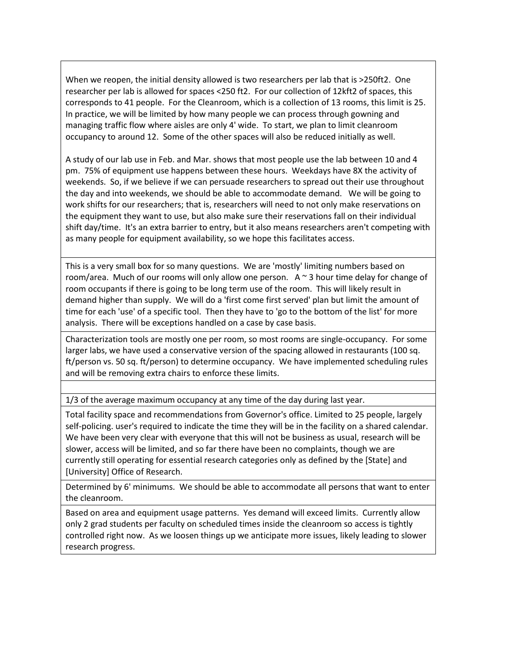When we reopen, the initial density allowed is two researchers per lab that is >250ft2. One researcher per lab is allowed for spaces <250 ft2. For our collection of 12kft2 of spaces, this corresponds to 41 people. For the Cleanroom, which is a collection of 13 rooms, this limit is 25. In practice, we will be limited by how many people we can process through gowning and managing traffic flow where aisles are only 4' wide. To start, we plan to limit cleanroom occupancy to around 12. Some of the other spaces will also be reduced initially as well.

A study of our lab use in Feb. and Mar. shows that most people use the lab between 10 and 4 pm. 75% of equipment use happens between these hours. Weekdays have 8X the activity of weekends. So, if we believe if we can persuade researchers to spread out their use throughout the day and into weekends, we should be able to accommodate demand. We will be going to work shifts for our researchers; that is, researchers will need to not only make reservations on the equipment they want to use, but also make sure their reservations fall on their individual shift day/time. It's an extra barrier to entry, but it also means researchers aren't competing with as many people for equipment availability, so we hope this facilitates access.

This is a very small box for so many questions. We are 'mostly' limiting numbers based on room/area. Much of our rooms will only allow one person. A ~ 3 hour time delay for change of room occupants if there is going to be long term use of the room. This will likely result in demand higher than supply. We will do a 'first come first served' plan but limit the amount of time for each 'use' of a specific tool. Then they have to 'go to the bottom of the list' for more analysis. There will be exceptions handled on a case by case basis.

Characterization tools are mostly one per room, so most rooms are single-occupancy. For some larger labs, we have used a conservative version of the spacing allowed in restaurants (100 sq. ft/person vs. 50 sq. ft/person) to determine occupancy. We have implemented scheduling rules and will be removing extra chairs to enforce these limits.

1/3 of the average maximum occupancy at any time of the day during last year.

Total facility space and recommendations from Governor's office. Limited to 25 people, largely self-policing. user's required to indicate the time they will be in the facility on a shared calendar. We have been very clear with everyone that this will not be business as usual, research will be slower, access will be limited, and so far there have been no complaints, though we are currently still operating for essential research categories only as defined by the [State] and [University] Office of Research.

Determined by 6' minimums. We should be able to accommodate all persons that want to enter the cleanroom.

Based on area and equipment usage patterns. Yes demand will exceed limits. Currently allow only 2 grad students per faculty on scheduled times inside the cleanroom so access is tightly controlled right now. As we loosen things up we anticipate more issues, likely leading to slower research progress.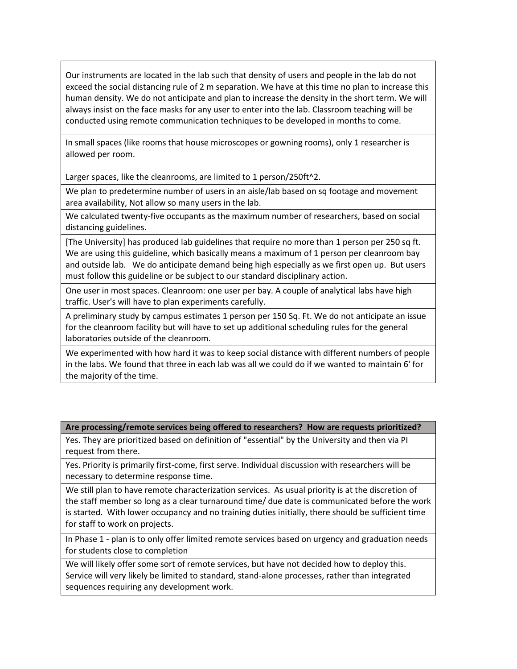Our instruments are located in the lab such that density of users and people in the lab do not exceed the social distancing rule of 2 m separation. We have at this time no plan to increase this human density. We do not anticipate and plan to increase the density in the short term. We will always insist on the face masks for any user to enter into the lab. Classroom teaching will be conducted using remote communication techniques to be developed in months to come.

In small spaces (like rooms that house microscopes or gowning rooms), only 1 researcher is allowed per room.

Larger spaces, like the cleanrooms, are limited to 1 person/250ft^2.

We plan to predetermine number of users in an aisle/lab based on sq footage and movement area availability, Not allow so many users in the lab.

We calculated twenty-five occupants as the maximum number of researchers, based on social distancing guidelines.

[The University] has produced lab guidelines that require no more than 1 person per 250 sq ft. We are using this guideline, which basically means a maximum of 1 person per cleanroom bay and outside lab. We do anticipate demand being high especially as we first open up. But users must follow this guideline or be subject to our standard disciplinary action.

One user in most spaces. Cleanroom: one user per bay. A couple of analytical labs have high traffic. User's will have to plan experiments carefully.

A preliminary study by campus estimates 1 person per 150 Sq. Ft. We do not anticipate an issue for the cleanroom facility but will have to set up additional scheduling rules for the general laboratories outside of the cleanroom.

We experimented with how hard it was to keep social distance with different numbers of people in the labs. We found that three in each lab was all we could do if we wanted to maintain 6' for the majority of the time.

**Are processing/remote services being offered to researchers? How are requests prioritized?**

Yes. They are prioritized based on definition of "essential" by the University and then via PI request from there.

Yes. Priority is primarily first-come, first serve. Individual discussion with researchers will be necessary to determine response time.

We still plan to have remote characterization services. As usual priority is at the discretion of the staff member so long as a clear turnaround time/ due date is communicated before the work is started. With lower occupancy and no training duties initially, there should be sufficient time for staff to work on projects.

In Phase 1 - plan is to only offer limited remote services based on urgency and graduation needs for students close to completion

We will likely offer some sort of remote services, but have not decided how to deploy this. Service will very likely be limited to standard, stand-alone processes, rather than integrated sequences requiring any development work.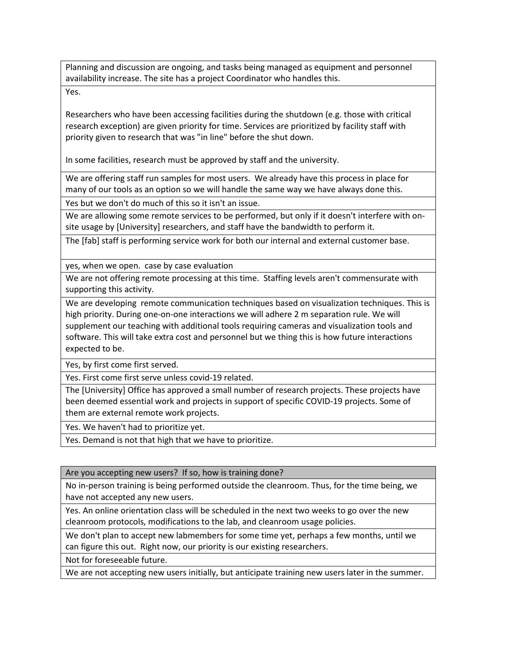Planning and discussion are ongoing, and tasks being managed as equipment and personnel availability increase. The site has a project Coordinator who handles this.

Yes.

Researchers who have been accessing facilities during the shutdown (e.g. those with critical research exception) are given priority for time. Services are prioritized by facility staff with priority given to research that was "in line" before the shut down.

In some facilities, research must be approved by staff and the university.

We are offering staff run samples for most users. We already have this process in place for many of our tools as an option so we will handle the same way we have always done this.

Yes but we don't do much of this so it isn't an issue.

We are allowing some remote services to be performed, but only if it doesn't interfere with onsite usage by [University] researchers, and staff have the bandwidth to perform it.

The [fab] staff is performing service work for both our internal and external customer base.

yes, when we open. case by case evaluation

We are not offering remote processing at this time. Staffing levels aren't commensurate with supporting this activity.

We are developing remote communication techniques based on visualization techniques. This is high priority. During one-on-one interactions we will adhere 2 m separation rule. We will supplement our teaching with additional tools requiring cameras and visualization tools and software. This will take extra cost and personnel but we thing this is how future interactions expected to be.

Yes, by first come first served.

Yes. First come first serve unless covid-19 related.

The [University] Office has approved a small number of research projects. These projects have been deemed essential work and projects in support of specific COVID-19 projects. Some of them are external remote work projects.

Yes. We haven't had to prioritize yet.

Yes. Demand is not that high that we have to prioritize.

Are you accepting new users? If so, how is training done?

No in-person training is being performed outside the cleanroom. Thus, for the time being, we have not accepted any new users.

Yes. An online orientation class will be scheduled in the next two weeks to go over the new cleanroom protocols, modifications to the lab, and cleanroom usage policies. 

We don't plan to accept new labmembers for some time yet, perhaps a few months, until we can figure this out. Right now, our priority is our existing researchers.

Not for foreseeable future.

We are not accepting new users initially, but anticipate training new users later in the summer.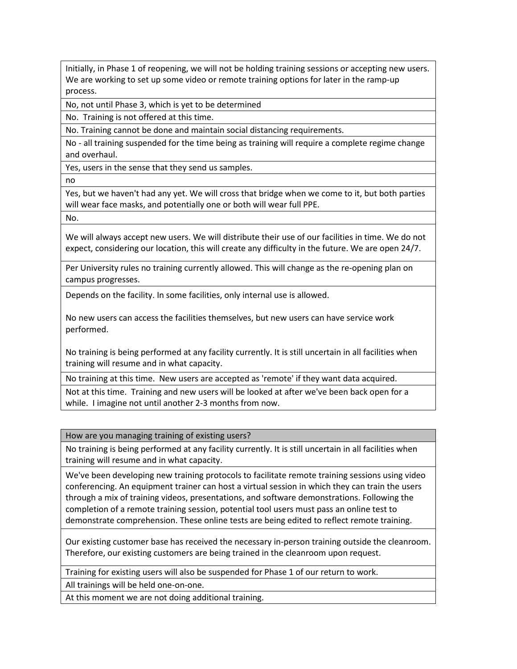Initially, in Phase 1 of reopening, we will not be holding training sessions or accepting new users. We are working to set up some video or remote training options for later in the ramp-up process.

No, not until Phase 3, which is yet to be determined

No. Training is not offered at this time.

No. Training cannot be done and maintain social distancing requirements.

No - all training suspended for the time being as training will require a complete regime change and overhaul.

Yes, users in the sense that they send us samples.

no

Yes, but we haven't had any yet. We will cross that bridge when we come to it, but both parties will wear face masks, and potentially one or both will wear full PPE.

No.

We will always accept new users. We will distribute their use of our facilities in time. We do not expect, considering our location, this will create any difficulty in the future. We are open 24/7.

Per University rules no training currently allowed. This will change as the re-opening plan on campus progresses.

Depends on the facility. In some facilities, only internal use is allowed.

No new users can access the facilities themselves, but new users can have service work performed.

No training is being performed at any facility currently. It is still uncertain in all facilities when training will resume and in what capacity.

No training at this time. New users are accepted as 'remote' if they want data acquired.

Not at this time. Training and new users will be looked at after we've been back open for a while. I imagine not until another 2-3 months from now.

How are you managing training of existing users?

No training is being performed at any facility currently. It is still uncertain in all facilities when training will resume and in what capacity.

We've been developing new training protocols to facilitate remote training sessions using video conferencing. An equipment trainer can host a virtual session in which they can train the users through a mix of training videos, presentations, and software demonstrations. Following the completion of a remote training session, potential tool users must pass an online test to demonstrate comprehension. These online tests are being edited to reflect remote training. 

Our existing customer base has received the necessary in-person training outside the cleanroom. Therefore, our existing customers are being trained in the cleanroom upon request.

Training for existing users will also be suspended for Phase 1 of our return to work.

All trainings will be held one-on-one.

At this moment we are not doing additional training.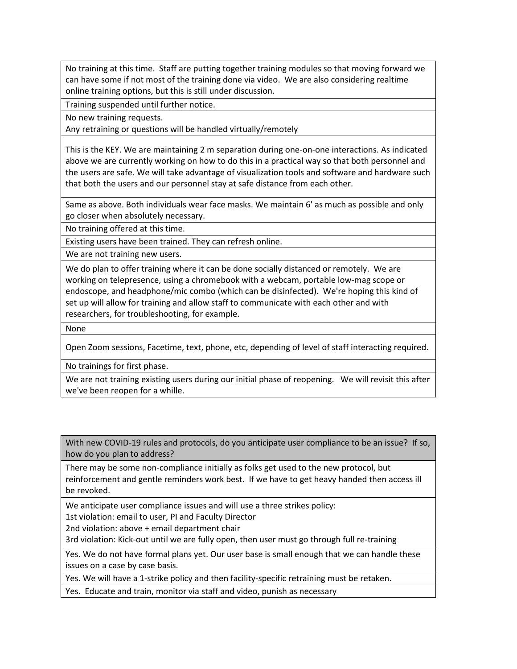No training at this time. Staff are putting together training modules so that moving forward we can have some if not most of the training done via video. We are also considering realtime online training options, but this is still under discussion.

Training suspended until further notice.

No new training requests.

Any retraining or questions will be handled virtually/remotely

This is the KEY. We are maintaining 2 m separation during one-on-one interactions. As indicated above we are currently working on how to do this in a practical way so that both personnel and the users are safe. We will take advantage of visualization tools and software and hardware such that both the users and our personnel stay at safe distance from each other.

Same as above. Both individuals wear face masks. We maintain 6' as much as possible and only go closer when absolutely necessary.

No training offered at this time.

Existing users have been trained. They can refresh online.

We are not training new users.

We do plan to offer training where it can be done socially distanced or remotely. We are working on telepresence, using a chromebook with a webcam, portable low-mag scope or endoscope, and headphone/mic combo (which can be disinfected). We're hoping this kind of set up will allow for training and allow staff to communicate with each other and with researchers, for troubleshooting, for example.

None

Open Zoom sessions, Facetime, text, phone, etc, depending of level of staff interacting required.

No trainings for first phase.

We are not training existing users during our initial phase of reopening. We will revisit this after we've been reopen for a whille.

With new COVID-19 rules and protocols, do you anticipate user compliance to be an issue? If so, how do you plan to address?

There may be some non-compliance initially as folks get used to the new protocol, but reinforcement and gentle reminders work best. If we have to get heavy handed then access ill be revoked.

We anticipate user compliance issues and will use a three strikes policy:

1st violation: email to user, PI and Faculty Director

2nd violation: above + email department chair

3rd violation: Kick-out until we are fully open, then user must go through full re-training

Yes. We do not have formal plans yet. Our user base is small enough that we can handle these issues on a case by case basis.

Yes. We will have a 1-strike policy and then facility-specific retraining must be retaken.

Yes. Educate and train, monitor via staff and video, punish as necessary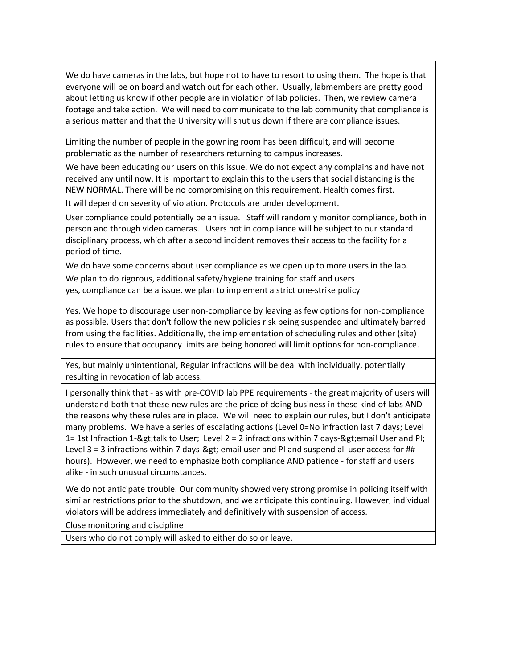We do have cameras in the labs, but hope not to have to resort to using them. The hope is that everyone will be on board and watch out for each other. Usually, labmembers are pretty good about letting us know if other people are in violation of lab policies. Then, we review camera footage and take action. We will need to communicate to the lab community that compliance is a serious matter and that the University will shut us down if there are compliance issues.

Limiting the number of people in the gowning room has been difficult, and will become problematic as the number of researchers returning to campus increases.

We have been educating our users on this issue. We do not expect any complains and have not received any until now. It is important to explain this to the users that social distancing is the NEW NORMAL. There will be no compromising on this requirement. Health comes first.

It will depend on severity of violation. Protocols are under development.

User compliance could potentially be an issue. Staff will randomly monitor compliance, both in person and through video cameras. Users not in compliance will be subject to our standard disciplinary process, which after a second incident removes their access to the facility for a period of time.

We do have some concerns about user compliance as we open up to more users in the lab.

We plan to do rigorous, additional safety/hygiene training for staff and users yes, compliance can be a issue, we plan to implement a strict one-strike policy

Yes. We hope to discourage user non-compliance by leaving as few options for non-compliance as possible. Users that don't follow the new policies risk being suspended and ultimately barred from using the facilities. Additionally, the implementation of scheduling rules and other (site) rules to ensure that occupancy limits are being honored will limit options for non-compliance. 

Yes, but mainly unintentional, Regular infractions will be deal with individually, potentially resulting in revocation of lab access.

I personally think that - as with pre-COVID lab PPE requirements - the great majority of users will understand both that these new rules are the price of doing business in these kind of labs AND the reasons why these rules are in place. We will need to explain our rules, but I don't anticipate many problems. We have a series of escalating actions (Level 0=No infraction last 7 days; Level 1= 1st Infraction 1-> talk to User; Level 2 = 2 infractions within 7 days-> email User and PI; Level  $3 = 3$  infractions within 7 days-> email user and PI and suspend all user access for ## hours). However, we need to emphasize both compliance AND patience - for staff and users alike - in such unusual circumstances.

We do not anticipate trouble. Our community showed very strong promise in policing itself with similar restrictions prior to the shutdown, and we anticipate this continuing. However, individual violators will be address immediately and definitively with suspension of access.

Close monitoring and discipline

Users who do not comply will asked to either do so or leave.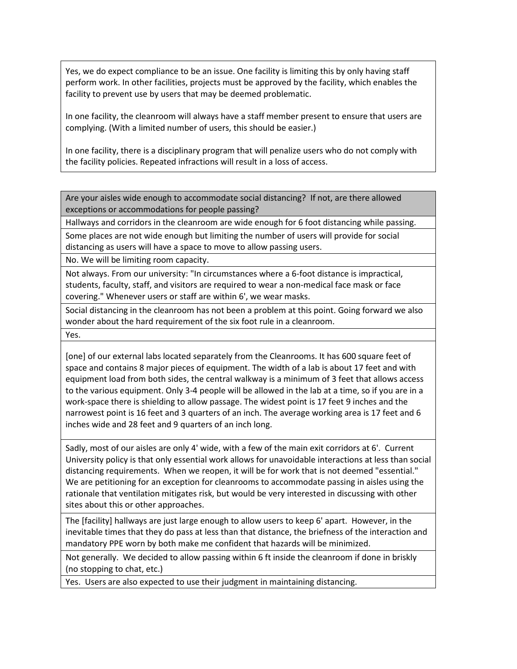Yes, we do expect compliance to be an issue. One facility is limiting this by only having staff perform work. In other facilities, projects must be approved by the facility, which enables the facility to prevent use by users that may be deemed problematic.

In one facility, the cleanroom will always have a staff member present to ensure that users are complying. (With a limited number of users, this should be easier.)

In one facility, there is a disciplinary program that will penalize users who do not comply with the facility policies. Repeated infractions will result in a loss of access.

Are your aisles wide enough to accommodate social distancing? If not, are there allowed exceptions or accommodations for people passing?

Hallways and corridors in the cleanroom are wide enough for 6 foot distancing while passing.

Some places are not wide enough but limiting the number of users will provide for social distancing as users will have a space to move to allow passing users.

No. We will be limiting room capacity.

Not always. From our university: "In circumstances where a 6-foot distance is impractical, students, faculty, staff, and visitors are required to wear a non-medical face mask or face covering." Whenever users or staff are within 6', we wear masks.

Social distancing in the cleanroom has not been a problem at this point. Going forward we also wonder about the hard requirement of the six foot rule in a cleanroom.

Yes.

[one] of our external labs located separately from the Cleanrooms. It has 600 square feet of space and contains 8 major pieces of equipment. The width of a lab is about 17 feet and with equipment load from both sides, the central walkway is a minimum of 3 feet that allows access to the various equipment. Only 3-4 people will be allowed in the lab at a time, so if you are in a work-space there is shielding to allow passage. The widest point is 17 feet 9 inches and the narrowest point is 16 feet and 3 quarters of an inch. The average working area is 17 feet and 6 inches wide and 28 feet and 9 quarters of an inch long.

Sadly, most of our aisles are only 4' wide, with a few of the main exit corridors at 6'. Current University policy is that only essential work allows for unavoidable interactions at less than social distancing requirements. When we reopen, it will be for work that is not deemed "essential." We are petitioning for an exception for cleanrooms to accommodate passing in aisles using the rationale that ventilation mitigates risk, but would be very interested in discussing with other sites about this or other approaches.

The [facility] hallways are just large enough to allow users to keep 6' apart. However, in the inevitable times that they do pass at less than that distance, the briefness of the interaction and mandatory PPE worn by both make me confident that hazards will be minimized.

Not generally. We decided to allow passing within 6 ft inside the cleanroom if done in briskly (no stopping to chat, etc.)

Yes. Users are also expected to use their judgment in maintaining distancing.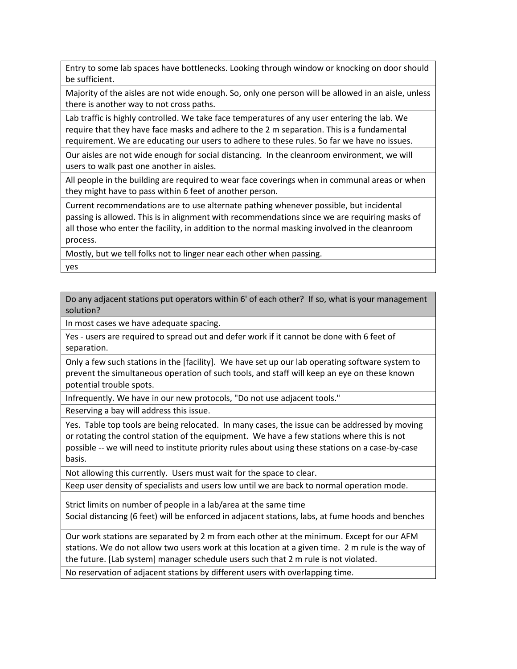Entry to some lab spaces have bottlenecks. Looking through window or knocking on door should be sufficient.

Majority of the aisles are not wide enough. So, only one person will be allowed in an aisle, unless there is another way to not cross paths.

Lab traffic is highly controlled. We take face temperatures of any user entering the lab. We require that they have face masks and adhere to the 2 m separation. This is a fundamental requirement. We are educating our users to adhere to these rules. So far we have no issues.

Our aisles are not wide enough for social distancing. In the cleanroom environment, we will users to walk past one another in aisles.

All people in the building are required to wear face coverings when in communal areas or when they might have to pass within 6 feet of another person.

Current recommendations are to use alternate pathing whenever possible, but incidental passing is allowed. This is in alignment with recommendations since we are requiring masks of all those who enter the facility, in addition to the normal masking involved in the cleanroom process.

Mostly, but we tell folks not to linger near each other when passing.

yes

Do any adjacent stations put operators within 6' of each other? If so, what is your management solution?

In most cases we have adequate spacing.

Yes - users are required to spread out and defer work if it cannot be done with 6 feet of separation.

Only a few such stations in the [facility]. We have set up our lab operating software system to prevent the simultaneous operation of such tools, and staff will keep an eye on these known potential trouble spots.

Infrequently. We have in our new protocols, "Do not use adjacent tools."

Reserving a bay will address this issue.

Yes. Table top tools are being relocated. In many cases, the issue can be addressed by moving or rotating the control station of the equipment. We have a few stations where this is not possible -- we will need to institute priority rules about using these stations on a case-by-case basis.

Not allowing this currently. Users must wait for the space to clear.

Keep user density of specialists and users low until we are back to normal operation mode.

Strict limits on number of people in a lab/area at the same time Social distancing (6 feet) will be enforced in adjacent stations, labs, at fume hoods and benches

Our work stations are separated by 2 m from each other at the minimum. Except for our AFM stations. We do not allow two users work at this location at a given time. 2 m rule is the way of the future. [Lab system] manager schedule users such that 2 m rule is not violated.

No reservation of adjacent stations by different users with overlapping time.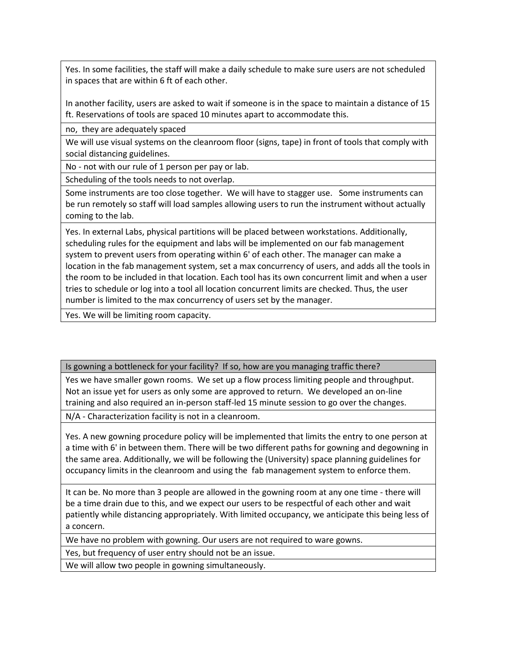Yes. In some facilities, the staff will make a daily schedule to make sure users are not scheduled in spaces that are within 6 ft of each other.

In another facility, users are asked to wait if someone is in the space to maintain a distance of 15 ft. Reservations of tools are spaced 10 minutes apart to accommodate this.

no, they are adequately spaced

We will use visual systems on the cleanroom floor (signs, tape) in front of tools that comply with social distancing guidelines.

No - not with our rule of 1 person per pay or lab.

Scheduling of the tools needs to not overlap.

Some instruments are too close together. We will have to stagger use. Some instruments can be run remotely so staff will load samples allowing users to run the instrument without actually coming to the lab.

Yes. In external Labs, physical partitions will be placed between workstations. Additionally, scheduling rules for the equipment and labs will be implemented on our fab management system to prevent users from operating within 6' of each other. The manager can make a location in the fab management system, set a max concurrency of users, and adds all the tools in the room to be included in that location. Each tool has its own concurrent limit and when a user tries to schedule or log into a tool all location concurrent limits are checked. Thus, the user number is limited to the max concurrency of users set by the manager.

Yes. We will be limiting room capacity.

Is gowning a bottleneck for your facility? If so, how are you managing traffic there?

Yes we have smaller gown rooms. We set up a flow process limiting people and throughput. Not an issue yet for users as only some are approved to return. We developed an on-line training and also required an in-person staff-led 15 minute session to go over the changes.

N/A - Characterization facility is not in a cleanroom.

Yes. A new gowning procedure policy will be implemented that limits the entry to one person at a time with 6' in between them. There will be two different paths for gowning and degowning in the same area. Additionally, we will be following the (University) space planning guidelines for occupancy limits in the cleanroom and using the fab management system to enforce them.

It can be. No more than 3 people are allowed in the gowning room at any one time - there will be a time drain due to this, and we expect our users to be respectful of each other and wait patiently while distancing appropriately. With limited occupancy, we anticipate this being less of a concern.

We have no problem with gowning. Our users are not required to ware gowns.

Yes, but frequency of user entry should not be an issue.

We will allow two people in gowning simultaneously.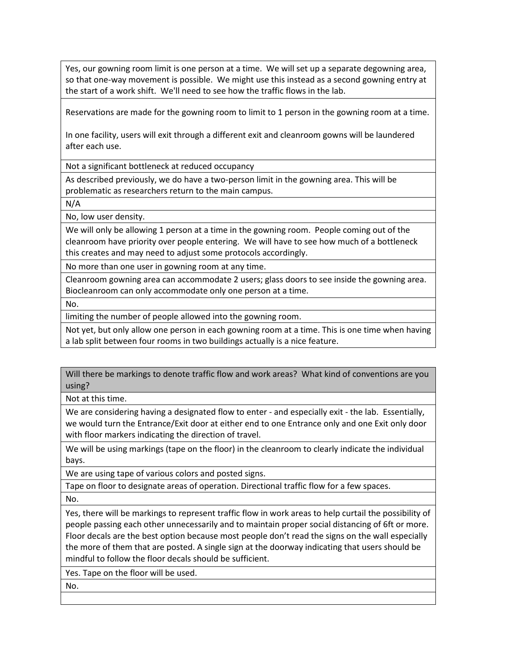Yes, our gowning room limit is one person at a time. We will set up a separate degowning area, so that one-way movement is possible. We might use this instead as a second gowning entry at the start of a work shift. We'll need to see how the traffic flows in the lab.

Reservations are made for the gowning room to limit to 1 person in the gowning room at a time.

In one facility, users will exit through a different exit and cleanroom gowns will be laundered after each use.

Not a significant bottleneck at reduced occupancy

As described previously, we do have a two-person limit in the gowning area. This will be problematic as researchers return to the main campus.

N/A

No, low user density.

We will only be allowing 1 person at a time in the gowning room. People coming out of the cleanroom have priority over people entering. We will have to see how much of a bottleneck this creates and may need to adjust some protocols accordingly.

No more than one user in gowning room at any time.

Cleanroom gowning area can accommodate 2 users; glass doors to see inside the gowning area. Biocleanroom can only accommodate only one person at a time.

No.

limiting the number of people allowed into the gowning room.

Not yet, but only allow one person in each gowning room at a time. This is one time when having a lab split between four rooms in two buildings actually is a nice feature.

Will there be markings to denote traffic flow and work areas? What kind of conventions are you using?

Not at this time.

We are considering having a designated flow to enter - and especially exit - the lab. Essentially, we would turn the Entrance/Exit door at either end to one Entrance only and one Exit only door with floor markers indicating the direction of travel.

We will be using markings (tape on the floor) in the cleanroom to clearly indicate the individual bays.

We are using tape of various colors and posted signs.

Tape on floor to designate areas of operation. Directional traffic flow for a few spaces.

No.

Yes, there will be markings to represent traffic flow in work areas to help curtail the possibility of people passing each other unnecessarily and to maintain proper social distancing of 6ft or more. Floor decals are the best option because most people don't read the signs on the wall especially the more of them that are posted. A single sign at the doorway indicating that users should be mindful to follow the floor decals should be sufficient.

Yes. Tape on the floor will be used.

No.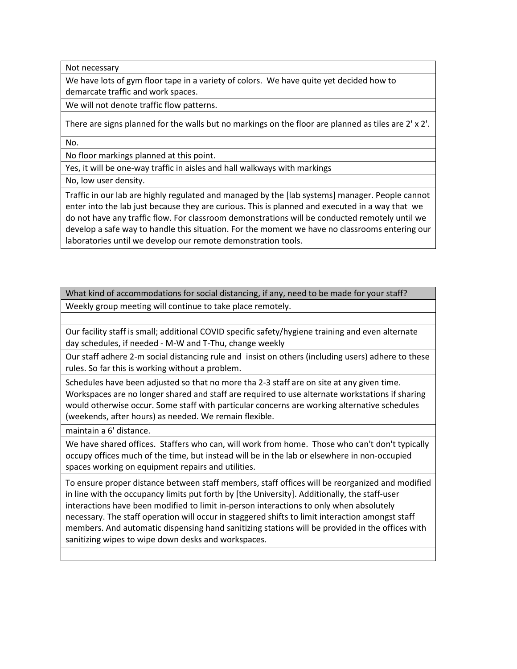Not necessary

We have lots of gym floor tape in a variety of colors. We have quite yet decided how to demarcate traffic and work spaces.

We will not denote traffic flow patterns.

There are signs planned for the walls but no markings on the floor are planned as tiles are 2' x 2'.

No.

No floor markings planned at this point.

Yes, it will be one-way traffic in aisles and hall walkways with markings

No, low user density.

Traffic in our lab are highly regulated and managed by the [lab systems] manager. People cannot enter into the lab just because they are curious. This is planned and executed in a way that we do not have any traffic flow. For classroom demonstrations will be conducted remotely until we develop a safe way to handle this situation. For the moment we have no classrooms entering our laboratories until we develop our remote demonstration tools.

What kind of accommodations for social distancing, if any, need to be made for your staff? Weekly group meeting will continue to take place remotely.

Our facility staff is small; additional COVID specific safety/hygiene training and even alternate day schedules, if needed - M-W and T-Thu, change weekly

Our staff adhere 2-m social distancing rule and insist on others (including users) adhere to these rules. So far this is working without a problem.

Schedules have been adjusted so that no more tha 2-3 staff are on site at any given time. Workspaces are no longer shared and staff are required to use alternate workstations if sharing would otherwise occur. Some staff with particular concerns are working alternative schedules (weekends, after hours) as needed. We remain flexible.

maintain a 6' distance.

We have shared offices. Staffers who can, will work from home. Those who can't don't typically occupy offices much of the time, but instead will be in the lab or elsewhere in non-occupied spaces working on equipment repairs and utilities.

To ensure proper distance between staff members, staff offices will be reorganized and modified in line with the occupancy limits put forth by [the University]. Additionally, the staff-user interactions have been modified to limit in-person interactions to only when absolutely necessary. The staff operation will occur in staggered shifts to limit interaction amongst staff members. And automatic dispensing hand sanitizing stations will be provided in the offices with sanitizing wipes to wipe down desks and workspaces.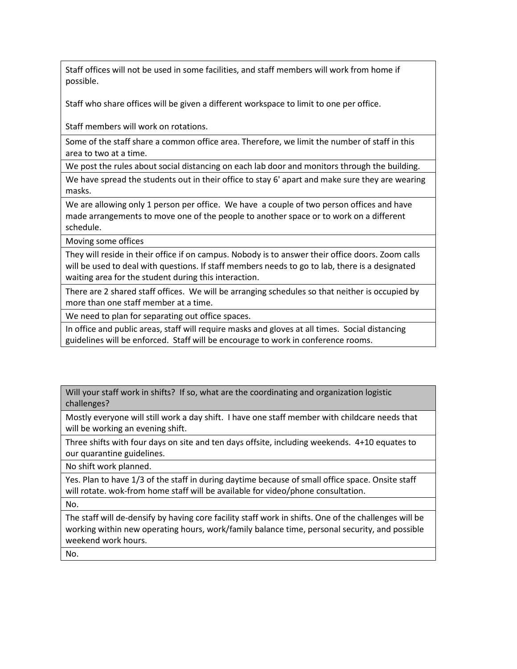Staff offices will not be used in some facilities, and staff members will work from home if possible.

Staff who share offices will be given a different workspace to limit to one per office.

Staff members will work on rotations.

Some of the staff share a common office area. Therefore, we limit the number of staff in this area to two at a time.

We post the rules about social distancing on each lab door and monitors through the building.

We have spread the students out in their office to stay 6' apart and make sure they are wearing masks.

We are allowing only 1 person per office. We have a couple of two person offices and have made arrangements to move one of the people to another space or to work on a different schedule.

Moving some offices

They will reside in their office if on campus. Nobody is to answer their office doors. Zoom calls will be used to deal with questions. If staff members needs to go to lab, there is a designated waiting area for the student during this interaction.

There are 2 shared staff offices. We will be arranging schedules so that neither is occupied by more than one staff member at a time.

We need to plan for separating out office spaces.

In office and public areas, staff will require masks and gloves at all times. Social distancing guidelines will be enforced. Staff will be encourage to work in conference rooms.

Will your staff work in shifts? If so, what are the coordinating and organization logistic challenges?

Mostly everyone will still work a day shift. I have one staff member with childcare needs that will be working an evening shift.

Three shifts with four days on site and ten days offsite, including weekends. 4+10 equates to our quarantine guidelines.

No shift work planned.

Yes. Plan to have 1/3 of the staff in during daytime because of small office space. Onsite staff will rotate. wok-from home staff will be available for video/phone consultation.

No.

The staff will de-densify by having core facility staff work in shifts. One of the challenges will be working within new operating hours, work/family balance time, personal security, and possible weekend work hours.

No.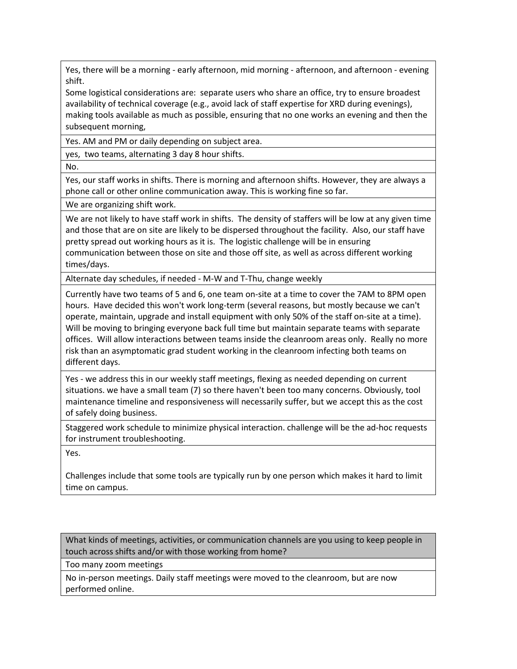Yes, there will be a morning - early afternoon, mid morning - afternoon, and afternoon - evening shift.

Some logistical considerations are: separate users who share an office, try to ensure broadest availability of technical coverage (e.g., avoid lack of staff expertise for XRD during evenings), making tools available as much as possible, ensuring that no one works an evening and then the subsequent morning,

Yes. AM and PM or daily depending on subject area.

yes, two teams, alternating 3 day 8 hour shifts.

No.

Yes, our staff works in shifts. There is morning and afternoon shifts. However, they are always a phone call or other online communication away. This is working fine so far.

We are organizing shift work.

We are not likely to have staff work in shifts. The density of staffers will be low at any given time and those that are on site are likely to be dispersed throughout the facility. Also, our staff have pretty spread out working hours as it is. The logistic challenge will be in ensuring communication between those on site and those off site, as well as across different working times/days.

Alternate day schedules, if needed - M-W and T-Thu, change weekly

Currently have two teams of 5 and 6, one team on-site at a time to cover the 7AM to 8PM open hours. Have decided this won't work long-term (several reasons, but mostly because we can't operate, maintain, upgrade and install equipment with only 50% of the staff on-site at a time). Will be moving to bringing everyone back full time but maintain separate teams with separate offices. Will allow interactions between teams inside the cleanroom areas only. Really no more risk than an asymptomatic grad student working in the cleanroom infecting both teams on different days.

Yes - we address this in our weekly staff meetings, flexing as needed depending on current situations. we have a small team (7) so there haven't been too many concerns. Obviously, tool maintenance timeline and responsiveness will necessarily suffer, but we accept this as the cost of safely doing business.

Staggered work schedule to minimize physical interaction. challenge will be the ad-hoc requests for instrument troubleshooting.

Yes.

Challenges include that some tools are typically run by one person which makes it hard to limit time on campus.

What kinds of meetings, activities, or communication channels are you using to keep people in touch across shifts and/or with those working from home?

Too many zoom meetings

No in-person meetings. Daily staff meetings were moved to the cleanroom, but are now performed online.